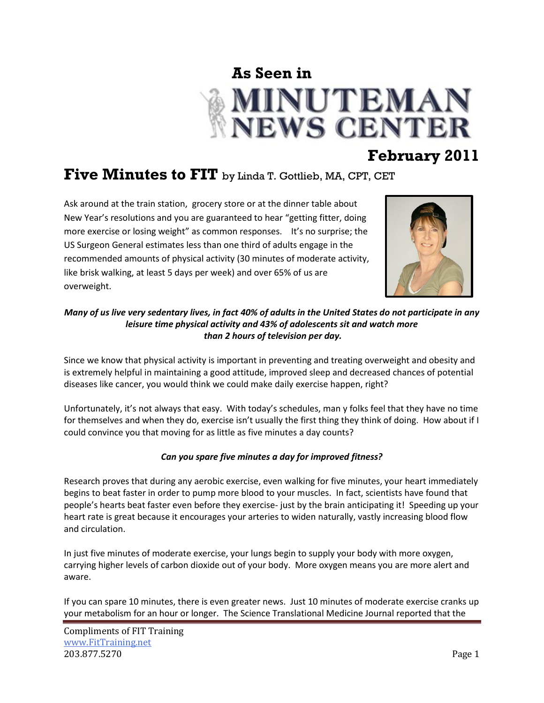

## **February 2011**

## **Five Minutes to FIT** by Linda T. Gottlieb, MA, CPT, CET

Ask around at the train station, grocery store or at the dinner table about New Year's resolutions and you are guaranteed to hear "getting fitter, doing more exercise or losing weight" as common responses. It's no surprise; the US Surgeon General estimates less than one third of adults engage in the recommended amounts of physical activity (30 minutes of moderate activity, like brisk walking, at least 5 days per week) and over 65% of us are overweight.



*Many of us live very sedentary lives, in fact 40% of adults in the United States do not participate in any leisure time physical activity and 43% of adolescents sit and watch more than 2 hours of television per day.*

Since we know that physical activity is important in preventing and treating overweight and obesity and is extremely helpful in maintaining a good attitude, improved sleep and decreased chances of potential diseases like cancer, you would think we could make daily exercise happen, right?

Unfortunately, it's not always that easy. With today's schedules, man y folks feel that they have no time for themselves and when they do, exercise isn't usually the first thing they think of doing. How about if I could convince you that moving for as little as five minutes a day counts?

## *Can you spare five minutes a day for improved fitness?*

Research proves that during any aerobic exercise, even walking for five minutes, your heart immediately begins to beat faster in order to pump more blood to your muscles. In fact, scientists have found that people's hearts beat faster even before they exercise- just by the brain anticipating it! Speeding up your heart rate is great because it encourages your arteries to widen naturally, vastly increasing blood flow and circulation.

In just five minutes of moderate exercise, your lungs begin to supply your body with more oxygen, carrying higher levels of carbon dioxide out of your body. More oxygen means you are more alert and aware.

If you can spare 10 minutes, there is even greater news. Just 10 minutes of moderate exercise cranks up your metabolism for an hour or longer. The Science Translational Medicine Journal reported that the